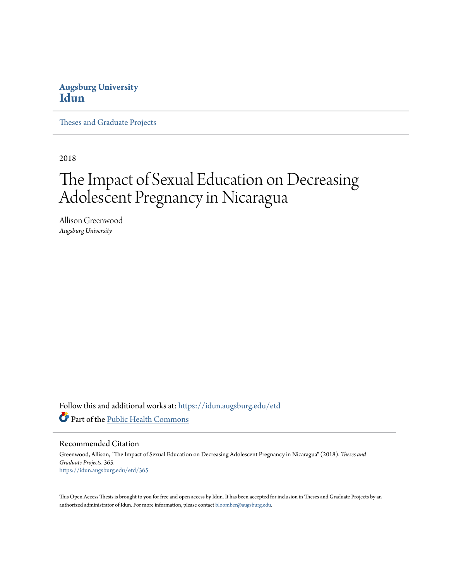# **Augsburg University [Idun](https://idun.augsburg.edu?utm_source=idun.augsburg.edu%2Fetd%2F365&utm_medium=PDF&utm_campaign=PDFCoverPages)**

[Theses and Graduate Projects](https://idun.augsburg.edu/etd?utm_source=idun.augsburg.edu%2Fetd%2F365&utm_medium=PDF&utm_campaign=PDFCoverPages)

2018

# The Impact of Sexual Education on Decreasing Adolescent Pregnancy in Nicaragua

Allison Greenwood *Augsburg University*

Follow this and additional works at: [https://idun.augsburg.edu/etd](https://idun.augsburg.edu/etd?utm_source=idun.augsburg.edu%2Fetd%2F365&utm_medium=PDF&utm_campaign=PDFCoverPages) Part of the [Public Health Commons](http://network.bepress.com/hgg/discipline/738?utm_source=idun.augsburg.edu%2Fetd%2F365&utm_medium=PDF&utm_campaign=PDFCoverPages)

Recommended Citation

Greenwood, Allison, "The Impact of Sexual Education on Decreasing Adolescent Pregnancy in Nicaragua" (2018). *Theses and Graduate Projects*. 365. [https://idun.augsburg.edu/etd/365](https://idun.augsburg.edu/etd/365?utm_source=idun.augsburg.edu%2Fetd%2F365&utm_medium=PDF&utm_campaign=PDFCoverPages)

This Open Access Thesis is brought to you for free and open access by Idun. It has been accepted for inclusion in Theses and Graduate Projects by an authorized administrator of Idun. For more information, please contact [bloomber@augsburg.edu.](mailto:bloomber@augsburg.edu)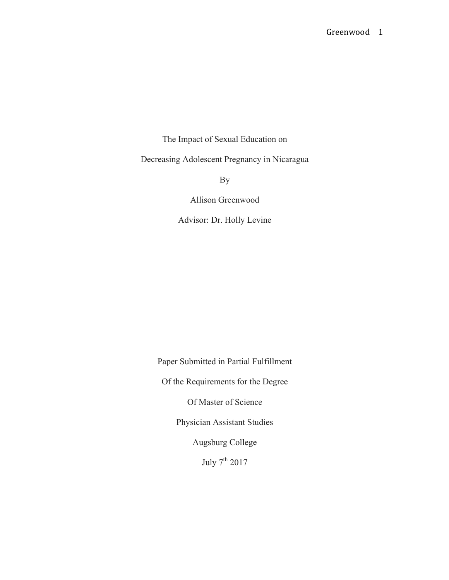The Impact of Sexual Education on Decreasing Adolescent Pregnancy in Nicaragua

By

Allison Greenwood

Advisor: Dr. Holly Levine

Paper Submitted in Partial Fulfillment Of the Requirements for the Degree Of Master of Science Physician Assistant Studies Augsburg College July 7<sup>th</sup> 2017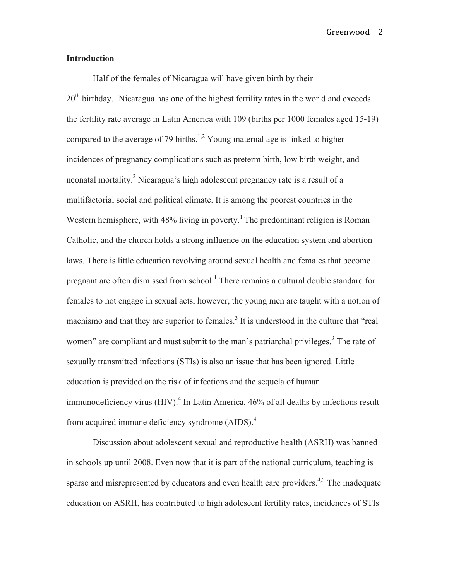Greenwood 2

### **Introduction**

Half of the females of Nicaragua will have given birth by their  $20<sup>th</sup>$  birthday.<sup>1</sup> Nicaragua has one of the highest fertility rates in the world and exceeds the fertility rate average in Latin America with 109 (births per 1000 females aged 15-19) compared to the average of 79 births.<sup>1,2</sup> Young maternal age is linked to higher incidences of pregnancy complications such as preterm birth, low birth weight, and neonatal mortality.<sup>2</sup> Nicaragua's high adolescent pregnancy rate is a result of a multifactorial social and political climate. It is among the poorest countries in the Western hemisphere, with  $48\%$  living in poverty.<sup>1</sup> The predominant religion is Roman Catholic, and the church holds a strong influence on the education system and abortion laws. There is little education revolving around sexual health and females that become pregnant are often dismissed from school.<sup>1</sup> There remains a cultural double standard for females to not engage in sexual acts, however, the young men are taught with a notion of machismo and that they are superior to females.<sup>3</sup> It is understood in the culture that "real" women" are compliant and must submit to the man's patriarchal privileges.<sup>3</sup> The rate of sexually transmitted infections (STIs) is also an issue that has been ignored. Little education is provided on the risk of infections and the sequela of human immunodeficiency virus (HIV).<sup>4</sup> In Latin America, 46% of all deaths by infections result from acquired immune deficiency syndrome (AIDS).<sup>4</sup>

Discussion about adolescent sexual and reproductive health (ASRH) was banned in schools up until 2008. Even now that it is part of the national curriculum, teaching is sparse and misrepresented by educators and even health care providers.<sup>4,5</sup> The inadequate education on ASRH, has contributed to high adolescent fertility rates, incidences of STIs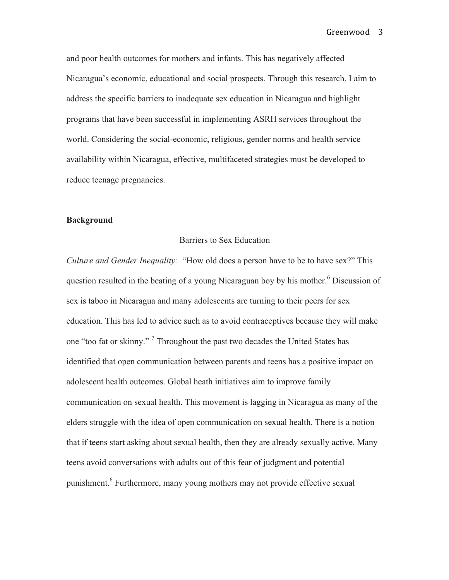and poor health outcomes for mothers and infants. This has negatively affected Nicaragua's economic, educational and social prospects. Through this research, I aim to address the specific barriers to inadequate sex education in Nicaragua and highlight programs that have been successful in implementing ASRH services throughout the world. Considering the social-economic, religious, gender norms and health service availability within Nicaragua, effective, multifaceted strategies must be developed to reduce teenage pregnancies.

#### **Background**

#### Barriers to Sex Education

*Culture and Gender Inequality:* "How old does a person have to be to have sex?" This question resulted in the beating of a young Nicaraguan boy by his mother.<sup>6</sup> Discussion of sex is taboo in Nicaragua and many adolescents are turning to their peers for sex education. This has led to advice such as to avoid contraceptives because they will make one "too fat or skinny." <sup>7</sup> Throughout the past two decades the United States has identified that open communication between parents and teens has a positive impact on adolescent health outcomes. Global heath initiatives aim to improve family communication on sexual health. This movement is lagging in Nicaragua as many of the elders struggle with the idea of open communication on sexual health. There is a notion that if teens start asking about sexual health, then they are already sexually active. Many teens avoid conversations with adults out of this fear of judgment and potential punishment.<sup>6</sup> Furthermore, many young mothers may not provide effective sexual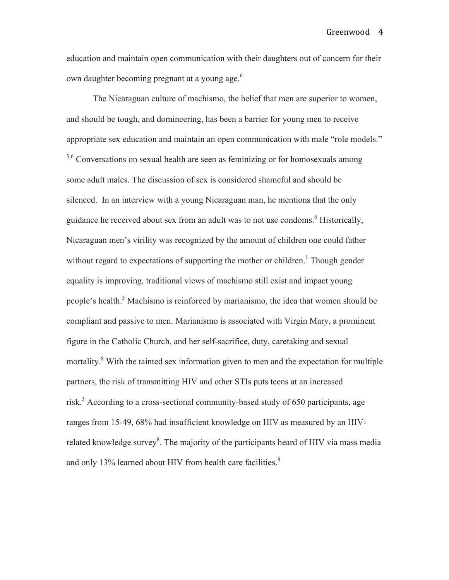education and maintain open communication with their daughters out of concern for their own daughter becoming pregnant at a young age.<sup>6</sup>

The Nicaraguan culture of machismo, the belief that men are superior to women, and should be tough, and domineering, has been a barrier for young men to receive appropriate sex education and maintain an open communication with male "role models." <sup>3,6</sup> Conversations on sexual health are seen as feminizing or for homosexuals among some adult males. The discussion of sex is considered shameful and should be silenced. In an interview with a young Nicaraguan man, he mentions that the only guidance he received about sex from an adult was to not use condoms.<sup>6</sup> Historically, Nicaraguan men's virility was recognized by the amount of children one could father without regard to expectations of supporting the mother or children.<sup>1</sup> Though gender equality is improving, traditional views of machismo still exist and impact young people's health.<sup>3</sup> Machismo is reinforced by marianismo, the idea that women should be compliant and passive to men. Marianismo is associated with Virgin Mary, a prominent figure in the Catholic Church, and her self-sacrifice, duty, caretaking and sexual mortality.<sup>8</sup> With the tainted sex information given to men and the expectation for multiple partners, the risk of transmitting HIV and other STIs puts teens at an increased risk.<sup>3</sup> According to a cross-sectional community-based study of 650 participants, age ranges from 15-49, 68% had insufficient knowledge on HIV as measured by an HIVrelated knowledge survey<sup>8</sup>. The majority of the participants heard of HIV via mass media and only 13% learned about HIV from health care facilities.<sup>8</sup>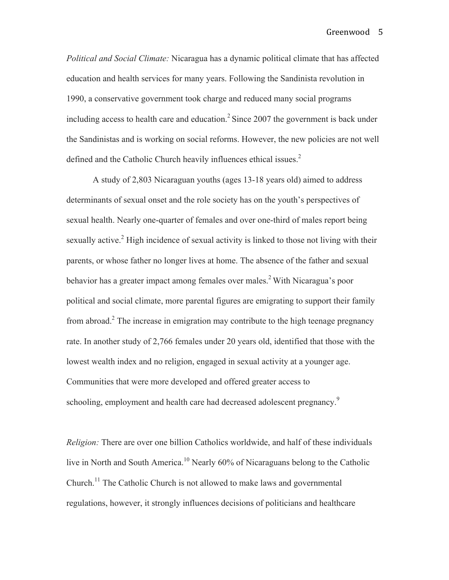*Political and Social Climate:* Nicaragua has a dynamic political climate that has affected education and health services for many years. Following the Sandinista revolution in 1990, a conservative government took charge and reduced many social programs including access to health care and education.<sup>2</sup> Since 2007 the government is back under the Sandinistas and is working on social reforms. However, the new policies are not well defined and the Catholic Church heavily influences ethical issues.<sup>2</sup>

A study of 2,803 Nicaraguan youths (ages 13-18 years old) aimed to address determinants of sexual onset and the role society has on the youth's perspectives of sexual health. Nearly one-quarter of females and over one-third of males report being sexually active.<sup>2</sup> High incidence of sexual activity is linked to those not living with their parents, or whose father no longer lives at home. The absence of the father and sexual behavior has a greater impact among females over males.<sup>2</sup> With Nicaragua's poor political and social climate, more parental figures are emigrating to support their family from abroad.<sup>2</sup> The increase in emigration may contribute to the high teenage pregnancy rate. In another study of 2,766 females under 20 years old, identified that those with the lowest wealth index and no religion, engaged in sexual activity at a younger age. Communities that were more developed and offered greater access to schooling, employment and health care had decreased adolescent pregnancy.<sup>9</sup>

*Religion:* There are over one billion Catholics worldwide, and half of these individuals live in North and South America.<sup>10</sup> Nearly 60% of Nicaraguans belong to the Catholic Church.<sup>11</sup> The Catholic Church is not allowed to make laws and governmental regulations, however, it strongly influences decisions of politicians and healthcare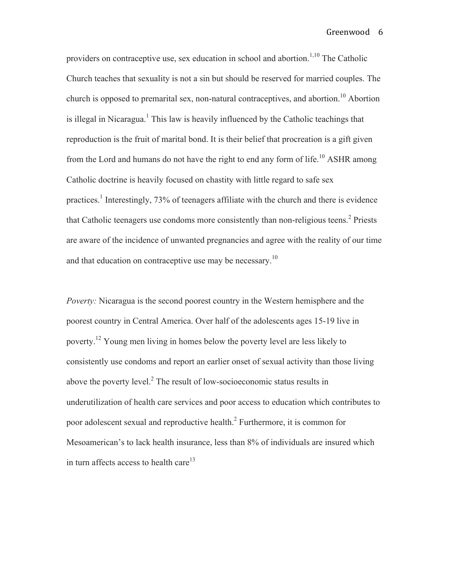providers on contraceptive use, sex education in school and abortion.<sup>1,10</sup> The Catholic Church teaches that sexuality is not a sin but should be reserved for married couples. The church is opposed to premarital sex, non-natural contraceptives, and abortion.<sup>10</sup> Abortion is illegal in Nicaragua.<sup>1</sup> This law is heavily influenced by the Catholic teachings that reproduction is the fruit of marital bond. It is their belief that procreation is a gift given from the Lord and humans do not have the right to end any form of life.<sup>10</sup> ASHR among Catholic doctrine is heavily focused on chastity with little regard to safe sex practices.<sup>1</sup> Interestingly, 73% of teenagers affiliate with the church and there is evidence that Catholic teenagers use condoms more consistently than non-religious teens.<sup>2</sup> Priests are aware of the incidence of unwanted pregnancies and agree with the reality of our time and that education on contraceptive use may be necessary.<sup>10</sup>

*Poverty:* Nicaragua is the second poorest country in the Western hemisphere and the poorest country in Central America. Over half of the adolescents ages 15-19 live in poverty.<sup>12</sup> Young men living in homes below the poverty level are less likely to consistently use condoms and report an earlier onset of sexual activity than those living above the poverty level. $<sup>2</sup>$  The result of low-socioeconomic status results in</sup> underutilization of health care services and poor access to education which contributes to poor adolescent sexual and reproductive health.<sup>2</sup> Furthermore, it is common for Mesoamerican's to lack health insurance, less than 8% of individuals are insured which in turn affects access to health care<sup>13</sup>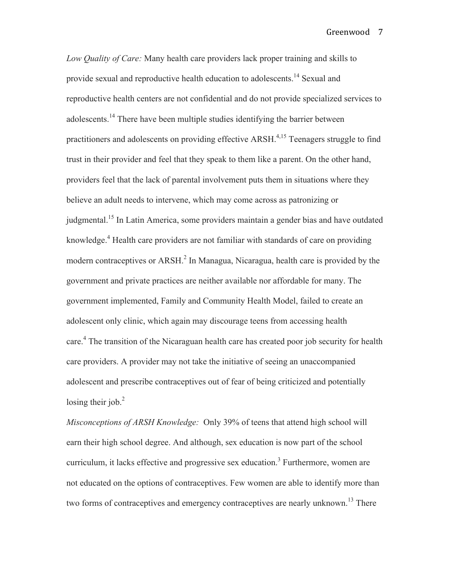*Low Quality of Care:* Many health care providers lack proper training and skills to provide sexual and reproductive health education to adolescents.<sup>14</sup> Sexual and reproductive health centers are not confidential and do not provide specialized services to adolescents.<sup>14</sup> There have been multiple studies identifying the barrier between practitioners and adolescents on providing effective ARSH.<sup>4,15</sup> Teenagers struggle to find trust in their provider and feel that they speak to them like a parent. On the other hand, providers feel that the lack of parental involvement puts them in situations where they believe an adult needs to intervene, which may come across as patronizing or judgmental.<sup>15</sup> In Latin America, some providers maintain a gender bias and have outdated knowledge.<sup>4</sup> Health care providers are not familiar with standards of care on providing modern contraceptives or ARSH.<sup>2</sup> In Managua, Nicaragua, health care is provided by the government and private practices are neither available nor affordable for many. The government implemented, Family and Community Health Model, failed to create an adolescent only clinic, which again may discourage teens from accessing health care.<sup>4</sup> The transition of the Nicaraguan health care has created poor job security for health care providers. A provider may not take the initiative of seeing an unaccompanied adolescent and prescribe contraceptives out of fear of being criticized and potentially losing their job. $<sup>2</sup>$ </sup>

*Misconceptions of ARSH Knowledge:* Only 39% of teens that attend high school will earn their high school degree. And although, sex education is now part of the school curriculum, it lacks effective and progressive sex education.<sup>3</sup> Furthermore, women are not educated on the options of contraceptives. Few women are able to identify more than two forms of contraceptives and emergency contraceptives are nearly unknown.<sup>13</sup> There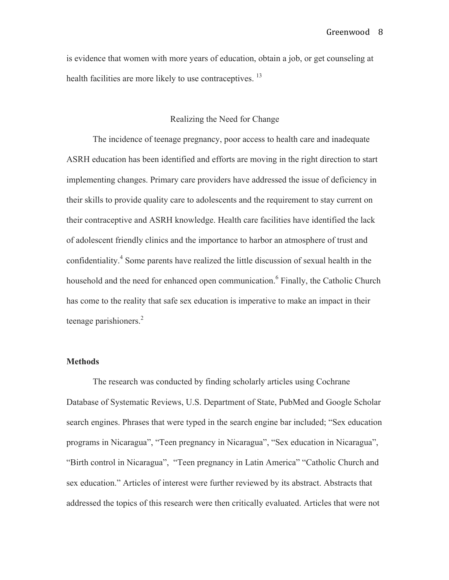is evidence that women with more years of education, obtain a job, or get counseling at health facilities are more likely to use contraceptives.<sup>13</sup>

#### Realizing the Need for Change

The incidence of teenage pregnancy, poor access to health care and inadequate ASRH education has been identified and efforts are moving in the right direction to start implementing changes. Primary care providers have addressed the issue of deficiency in their skills to provide quality care to adolescents and the requirement to stay current on their contraceptive and ASRH knowledge. Health care facilities have identified the lack of adolescent friendly clinics and the importance to harbor an atmosphere of trust and confidentiality.<sup>4</sup> Some parents have realized the little discussion of sexual health in the household and the need for enhanced open communication.<sup>6</sup> Finally, the Catholic Church has come to the reality that safe sex education is imperative to make an impact in their teenage parishioners.<sup>2</sup>

#### **Methods**

The research was conducted by finding scholarly articles using Cochrane Database of Systematic Reviews, U.S. Department of State, PubMed and Google Scholar search engines. Phrases that were typed in the search engine bar included; "Sex education programs in Nicaragua", "Teen pregnancy in Nicaragua", "Sex education in Nicaragua", "Birth control in Nicaragua", "Teen pregnancy in Latin America" "Catholic Church and sex education." Articles of interest were further reviewed by its abstract. Abstracts that addressed the topics of this research were then critically evaluated. Articles that were not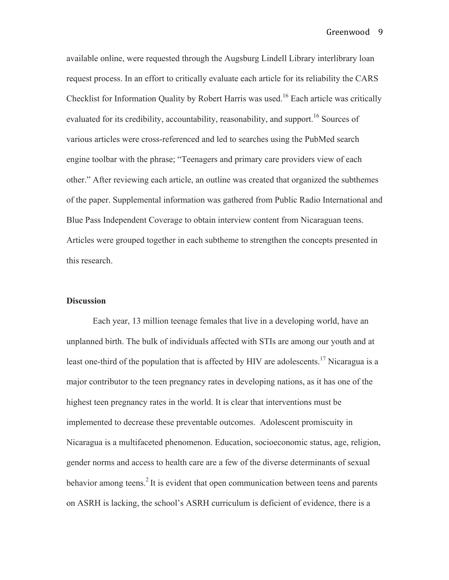available online, were requested through the Augsburg Lindell Library interlibrary loan request process. In an effort to critically evaluate each article for its reliability the CARS Checklist for Information Quality by Robert Harris was used.<sup>16</sup> Each article was critically evaluated for its credibility, accountability, reasonability, and support.<sup>16</sup> Sources of various articles were cross-referenced and led to searches using the PubMed search engine toolbar with the phrase; "Teenagers and primary care providers view of each other." After reviewing each article, an outline was created that organized the subthemes of the paper. Supplemental information was gathered from Public Radio International and Blue Pass Independent Coverage to obtain interview content from Nicaraguan teens. Articles were grouped together in each subtheme to strengthen the concepts presented in this research.

#### **Discussion**

Each year, 13 million teenage females that live in a developing world, have an unplanned birth. The bulk of individuals affected with STIs are among our youth and at least one-third of the population that is affected by HIV are adolescents.<sup>17</sup> Nicaragua is a major contributor to the teen pregnancy rates in developing nations, as it has one of the highest teen pregnancy rates in the world. It is clear that interventions must be implemented to decrease these preventable outcomes. Adolescent promiscuity in Nicaragua is a multifaceted phenomenon. Education, socioeconomic status, age, religion, gender norms and access to health care are a few of the diverse determinants of sexual behavior among teens.<sup>2</sup> It is evident that open communication between teens and parents on ASRH is lacking, the school's ASRH curriculum is deficient of evidence, there is a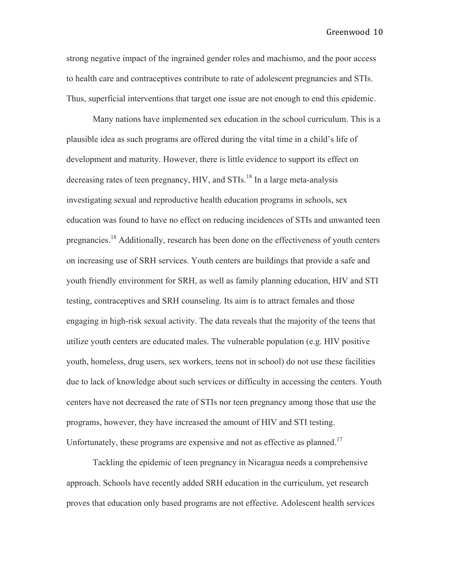strong negative impact of the ingrained gender roles and machismo, and the poor access to health care and contraceptives contribute to rate of adolescent pregnancies and STIs. Thus, superficial interventions that target one issue are not enough to end this epidemic.

Many nations have implemented sex education in the school curriculum. This is a plausible idea as such programs are offered during the vital time in a child's life of development and maturity. However, there is little evidence to support its effect on decreasing rates of teen pregnancy,  $HIV$ , and  $STIs$ <sup>18</sup> In a large meta-analysis investigating sexual and reproductive health education programs in schools, sex education was found to have no effect on reducing incidences of STIs and unwanted teen pregnancies.<sup>18</sup> Additionally, research has been done on the effectiveness of youth centers on increasing use of SRH services. Youth centers are buildings that provide a safe and youth friendly environment for SRH, as well as family planning education, HIV and STI testing, contraceptives and SRH counseling. Its aim is to attract females and those engaging in high-risk sexual activity. The data reveals that the majority of the teens that utilize youth centers are educated males. The vulnerable population (e.g. HIV positive youth, homeless, drug users, sex workers, teens not in school) do not use these facilities due to lack of knowledge about such services or difficulty in accessing the centers. Youth centers have not decreased the rate of STIs nor teen pregnancy among those that use the programs, however, they have increased the amount of HIV and STI testing. Unfortunately, these programs are expensive and not as effective as planned.<sup>17</sup>

Tackling the epidemic of teen pregnancy in Nicaragua needs a comprehensive approach. Schools have recently added SRH education in the curriculum, yet research proves that education only based programs are not effective. Adolescent health services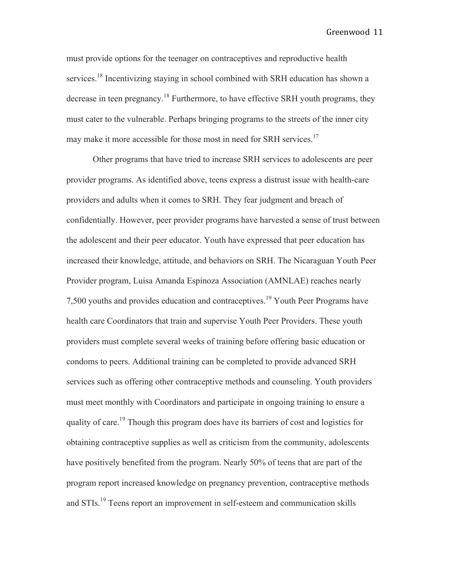Greenwood 11

must provide options for the teenager on contraceptives and reproductive health services.<sup>18</sup> Incentivizing staying in school combined with SRH education has shown a decrease in teen pregnancy.<sup>18</sup> Furthermore, to have effective SRH youth programs, they must cater to the vulnerable. Perhaps bringing programs to the streets of the inner city may make it more accessible for those most in need for SRH services.<sup>17</sup>

Other programs that have tried to increase SRH services to adolescents are peer provider programs. As identified above, teens express a distrust issue with health-care providers and adults when it comes to SRH. They fear judgment and breach of confidentially. However, peer provider programs have harvested a sense of trust between the adolescent and their peer educator. Youth have expressed that peer education has increased their knowledge, attitude, and behaviors on SRH. The Nicaraguan Youth Peer Provider program, Luisa Amanda Espinoza Association (AMNLAE) reaches nearly 7,500 youths and provides education and contraceptives.<sup>19</sup> Youth Peer Programs have health care Coordinators that train and supervise Youth Peer Providers. These youth providers must complete several weeks of training before offering basic education or condoms to peers. Additional training can be completed to provide advanced SRH services such as offering other contraceptive methods and counseling. Youth providers must meet monthly with Coordinators and participate in ongoing training to ensure a quality of care.<sup>19</sup> Though this program does have its barriers of cost and logistics for obtaining contraceptive supplies as well as criticism from the community, adolescents have positively benefited from the program. Nearly 50% of teens that are part of the program report increased knowledge on pregnancy prevention, contraceptive methods and STIs.<sup>19</sup> Teens report an improvement in self-esteem and communication skills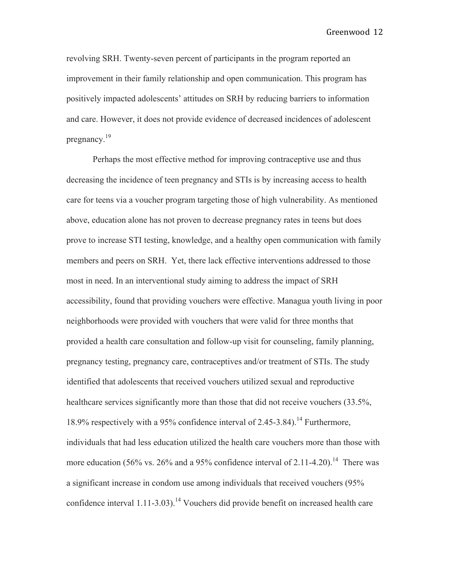revolving SRH. Twenty-seven percent of participants in the program reported an improvement in their family relationship and open communication. This program has positively impacted adolescents' attitudes on SRH by reducing barriers to information and care. However, it does not provide evidence of decreased incidences of adolescent pregnancy.<sup>19</sup>

Perhaps the most effective method for improving contraceptive use and thus decreasing the incidence of teen pregnancy and STIs is by increasing access to health care for teens via a voucher program targeting those of high vulnerability. As mentioned above, education alone has not proven to decrease pregnancy rates in teens but does prove to increase STI testing, knowledge, and a healthy open communication with family members and peers on SRH. Yet, there lack effective interventions addressed to those most in need. In an interventional study aiming to address the impact of SRH accessibility, found that providing vouchers were effective. Managua youth living in poor neighborhoods were provided with vouchers that were valid for three months that provided a health care consultation and follow-up visit for counseling, family planning, pregnancy testing, pregnancy care, contraceptives and/or treatment of STIs. The study identified that adolescents that received vouchers utilized sexual and reproductive healthcare services significantly more than those that did not receive vouchers (33.5%, 18.9% respectively with a 95% confidence interval of 2.45-3.84).<sup>14</sup> Furthermore, individuals that had less education utilized the health care vouchers more than those with more education (56% vs. 26% and a 95% confidence interval of 2.11-4.20).<sup>14</sup> There was a significant increase in condom use among individuals that received vouchers (95% confidence interval  $1.11$ -3.03).<sup>14</sup> Vouchers did provide benefit on increased health care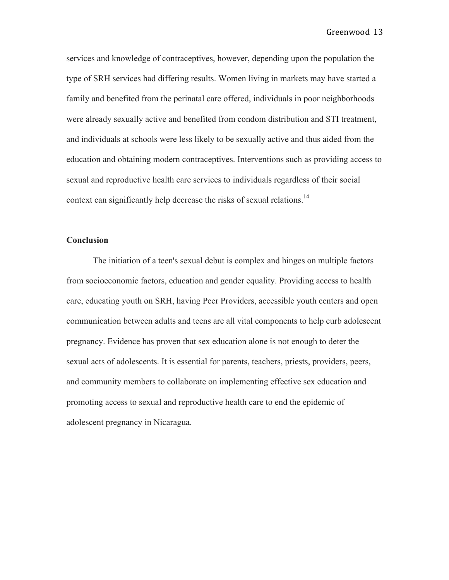services and knowledge of contraceptives, however, depending upon the population the type of SRH services had differing results. Women living in markets may have started a family and benefited from the perinatal care offered, individuals in poor neighborhoods were already sexually active and benefited from condom distribution and STI treatment, and individuals at schools were less likely to be sexually active and thus aided from the education and obtaining modern contraceptives. Interventions such as providing access to sexual and reproductive health care services to individuals regardless of their social context can significantly help decrease the risks of sexual relations.<sup>14</sup>

#### **Conclusion**

The initiation of a teen's sexual debut is complex and hinges on multiple factors from socioeconomic factors, education and gender equality. Providing access to health care, educating youth on SRH, having Peer Providers, accessible youth centers and open communication between adults and teens are all vital components to help curb adolescent pregnancy. Evidence has proven that sex education alone is not enough to deter the sexual acts of adolescents. It is essential for parents, teachers, priests, providers, peers, and community members to collaborate on implementing effective sex education and promoting access to sexual and reproductive health care to end the epidemic of adolescent pregnancy in Nicaragua.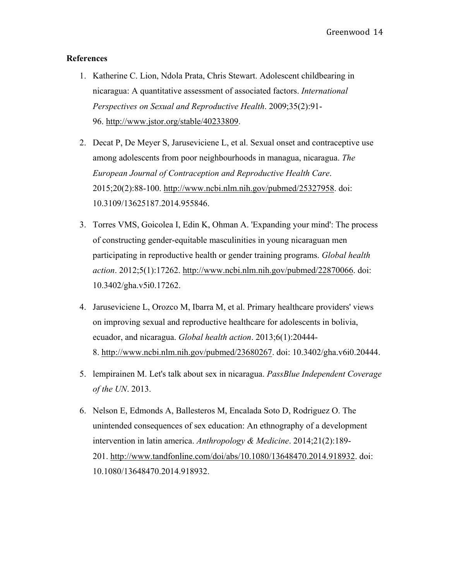#### **References**

- 1. Katherine C. Lion, Ndola Prata, Chris Stewart. Adolescent childbearing in nicaragua: A quantitative assessment of associated factors. *International Perspectives on Sexual and Reproductive Health*. 2009;35(2):91- 96. http://www.jstor.org/stable/40233809.
- 2. Decat P, De Meyer S, Jaruseviciene L, et al. Sexual onset and contraceptive use among adolescents from poor neighbourhoods in managua, nicaragua. *The European Journal of Contraception and Reproductive Health Care*. 2015;20(2):88-100. http://www.ncbi.nlm.nih.gov/pubmed/25327958. doi: 10.3109/13625187.2014.955846.
- 3. Torres VMS, Goicolea I, Edin K, Ohman A. 'Expanding your mind': The process of constructing gender-equitable masculinities in young nicaraguan men participating in reproductive health or gender training programs. *Global health action*. 2012;5(1):17262. http://www.ncbi.nlm.nih.gov/pubmed/22870066. doi: 10.3402/gha.v5i0.17262.
- 4. Jaruseviciene L, Orozco M, Ibarra M, et al. Primary healthcare providers' views on improving sexual and reproductive healthcare for adolescents in bolivia, ecuador, and nicaragua. *Global health action*. 2013;6(1):20444- 8. http://www.ncbi.nlm.nih.gov/pubmed/23680267. doi: 10.3402/gha.v6i0.20444.
- 5. lempirainen M. Let's talk about sex in nicaragua. *PassBlue Independent Coverage of the UN*. 2013.
- 6. Nelson E, Edmonds A, Ballesteros M, Encalada Soto D, Rodriguez O. The unintended consequences of sex education: An ethnography of a development intervention in latin america. *Anthropology & Medicine*. 2014;21(2):189- 201. http://www.tandfonline.com/doi/abs/10.1080/13648470.2014.918932. doi: 10.1080/13648470.2014.918932.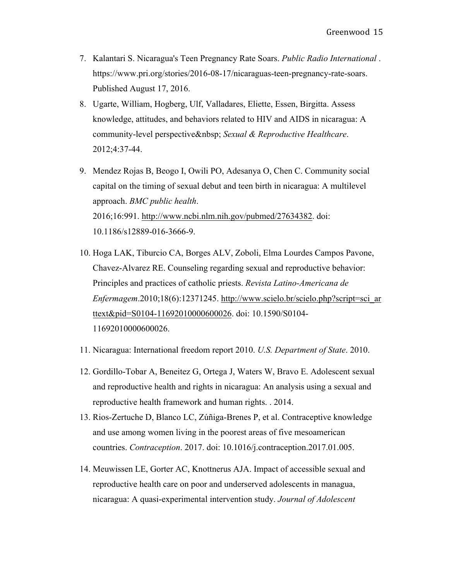- 7. Kalantari S. Nicaragua's Teen Pregnancy Rate Soars. *Public Radio International* . https://www.pri.org/stories/2016-08-17/nicaraguas-teen-pregnancy-rate-soars. Published August 17, 2016.
- 8. Ugarte, William, Hogberg, Ulf, Valladares, Eliette, Essen, Birgitta. Assess knowledge, attitudes, and behaviors related to HIV and AIDS in nicaragua: A community-level perspective *Sexual & Reproductive Healthcare*. 2012;4:37-44.
- 9. Mendez Rojas B, Beogo I, Owili PO, Adesanya O, Chen C. Community social capital on the timing of sexual debut and teen birth in nicaragua: A multilevel approach. *BMC public health*. 2016;16:991. http://www.ncbi.nlm.nih.gov/pubmed/27634382. doi: 10.1186/s12889-016-3666-9.
- 10. Hoga LAK, Tiburcio CA, Borges ALV, Zoboli, Elma Lourdes Campos Pavone, Chavez-Alvarez RE. Counseling regarding sexual and reproductive behavior: Principles and practices of catholic priests. *Revista Latino-Americana de Enfermagem*.2010;18(6):12371245. http://www.scielo.br/scielo.php?script=sci\_ar ttext&pid=S0104-11692010000600026. doi: 10.1590/S0104- 11692010000600026.
- 11. Nicaragua: International freedom report 2010. *U.S. Department of State*. 2010.
- 12. Gordillo-Tobar A, Beneitez G, Ortega J, Waters W, Bravo E. Adolescent sexual and reproductive health and rights in nicaragua: An analysis using a sexual and reproductive health framework and human rights. . 2014.
- 13. Rios-Zertuche D, Blanco LC, Zúñiga-Brenes P, et al. Contraceptive knowledge and use among women living in the poorest areas of five mesoamerican countries. *Contraception*. 2017. doi: 10.1016/j.contraception.2017.01.005.
- 14. Meuwissen LE, Gorter AC, Knottnerus AJA. Impact of accessible sexual and reproductive health care on poor and underserved adolescents in managua, nicaragua: A quasi-experimental intervention study. *Journal of Adolescent*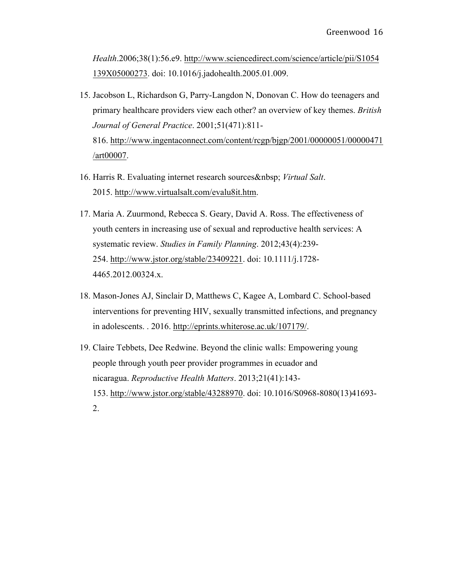*Health*.2006;38(1):56.e9. http://www.sciencedirect.com/science/article/pii/S1054 139X05000273. doi: 10.1016/j.jadohealth.2005.01.009.

- 15. Jacobson L, Richardson G, Parry-Langdon N, Donovan C. How do teenagers and primary healthcare providers view each other? an overview of key themes. *British Journal of General Practice*. 2001;51(471):811- 816. http://www.ingentaconnect.com/content/rcgp/bjgp/2001/00000051/00000471 /art00007.
- 16. Harris R. Evaluating internet research sources *Virtual Salt*. 2015. http://www.virtualsalt.com/evalu8it.htm.
- 17. Maria A. Zuurmond, Rebecca S. Geary, David A. Ross. The effectiveness of youth centers in increasing use of sexual and reproductive health services: A systematic review. *Studies in Family Planning*. 2012;43(4):239- 254. http://www.jstor.org/stable/23409221. doi: 10.1111/j.1728- 4465.2012.00324.x.
- 18. Mason-Jones AJ, Sinclair D, Matthews C, Kagee A, Lombard C. School-based interventions for preventing HIV, sexually transmitted infections, and pregnancy in adolescents. . 2016. http://eprints.whiterose.ac.uk/107179/.
- 19. Claire Tebbets, Dee Redwine. Beyond the clinic walls: Empowering young people through youth peer provider programmes in ecuador and nicaragua. *Reproductive Health Matters*. 2013;21(41):143- 153. http://www.jstor.org/stable/43288970. doi: 10.1016/S0968-8080(13)41693- 2.